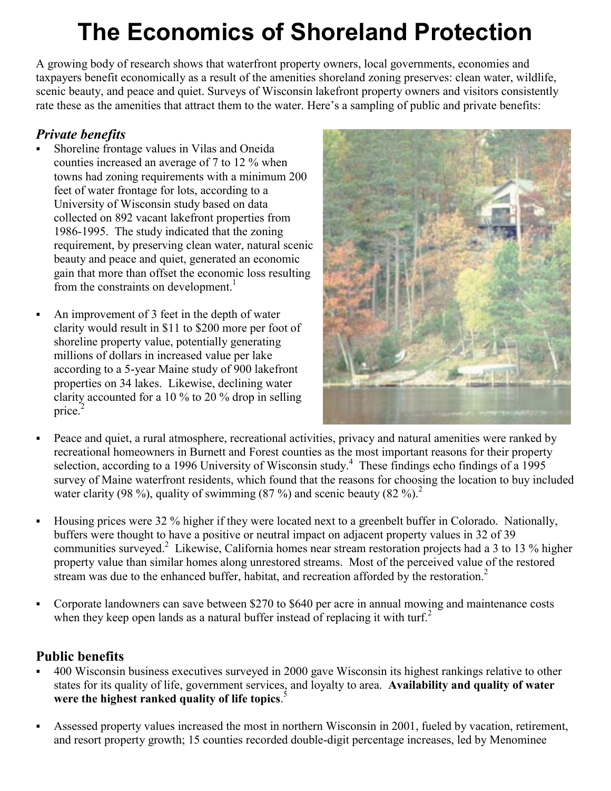## **The Economics of Shoreland Protection**

A growing body of research shows that waterfront property owners, local governments, economies and taxpayers benefit economically as a result of the amenities shoreland zoning preserves: clean water, wildlife, scenic beauty, and peace and quiet. Surveys of Wisconsin lakefront property owners and visitors consistently rate these as the amenities that attract them to the water. Here's a sampling of public and private benefits:

## *Private benefits*

- Shoreline frontage values in Vilas and Oneida counties increased an average of 7 to 12 % when towns had zoning requirements with a minimum 200 feet of water frontage for lots, according to a University of Wisconsin study based on data collected on 892 vacant lakefront properties from 1986-1995. The study indicated that the zoning requirement, by preserving clean water, natural scenic beauty and peace and quiet, generated an economic gain that more than offset the economic loss resulting from the constraints on development.<sup>1</sup>
	- An improvement of 3 feet in the depth of water clarity would result in \$11 to \$200 more per foot of shoreline property value, potentially generating millions of dollars in increased value per lake according to a 5-year Maine study of 900 lakefront properties on 34 lakes. Likewise, declining water clarity accounted for a 10 % to 20 % drop in selling price. $<sup>2</sup>$ </sup>



- Peace and quiet, a rural atmosphere, recreational activities, privacy and natural amenities were ranked by recreational homeowners in Burnett and Forest counties as the most important reasons for their property selection, according to a 1996 University of Wisconsin study.<sup>4</sup> These findings echo findings of a 1995 survey of Maine waterfront residents, which found that the reasons for choosing the location to buy included water clarity (98 %), quality of swimming (87 %) and scenic beauty (82 %).<sup>2</sup>
- Housing prices were 32 % higher if they were located next to a greenbelt buffer in Colorado. Nationally, buffers were thought to have a positive or neutral impact on adjacent property values in 32 of 39 communities surveyed.<sup>2</sup> Likewise, California homes near stream restoration projects had a 3 to 13 % higher property value than similar homes along unrestored streams. Most of the perceived value of the restored stream was due to the enhanced buffer, habitat, and recreation afforded by the restoration.<sup>2</sup>
- Corporate landowners can save between \$270 to \$640 per acre in annual mowing and maintenance costs when they keep open lands as a natural buffer instead of replacing it with turf.<sup>2</sup>

## **Public benefits**

- 400 Wisconsin business executives surveyed in 2000 gave Wisconsin its highest rankings relative to other states for its quality of life, government services, and loyalty to area. **Availability and quality of water were the highest ranked quality of life topics**. 5
- Assessed property values increased the most in northern Wisconsin in 2001, fueled by vacation, retirement, and resort property growth; 15 counties recorded double-digit percentage increases, led by Menominee